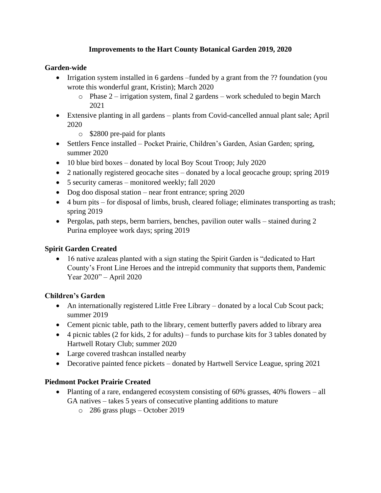# **Improvements to the Hart County Botanical Garden 2019, 2020**

#### **Garden-wide**

- Irrigation system installed in 6 gardens –funded by a grant from the ?? foundation (you wrote this wonderful grant, Kristin); March 2020
	- o Phase 2 irrigation system, final 2 gardens work scheduled to begin March 2021
- Extensive planting in all gardens plants from Covid-cancelled annual plant sale; April 2020
	- o \$2800 pre-paid for plants
- Settlers Fence installed Pocket Prairie, Children's Garden, Asian Garden; spring, summer 2020
- 10 blue bird boxes donated by local Boy Scout Troop; July 2020
- 2 nationally registered geocache sites donated by a local geocache group; spring 2019
- 5 security cameras monitored weekly; fall 2020
- Dog doo disposal station near front entrance; spring 2020
- 4 burn pits for disposal of limbs, brush, cleared foliage; eliminates transporting as trash; spring 2019
- Pergolas, path steps, berm barriers, benches, pavilion outer walls stained during 2 Purina employee work days; spring 2019

#### **Spirit Garden Created**

• 16 native azaleas planted with a sign stating the Spirit Garden is "dedicated to Hart County's Front Line Heroes and the intrepid community that supports them, Pandemic Year 2020" – April 2020

# **Children's Garden**

- An internationally registered Little Free Library donated by a local Cub Scout pack; summer 2019
- Cement picnic table, path to the library, cement butterfly pavers added to library area
- $\bullet$  4 picnic tables (2 for kids, 2 for adults) funds to purchase kits for 3 tables donated by Hartwell Rotary Club; summer 2020
- Large covered trashcan installed nearby
- Decorative painted fence pickets donated by Hartwell Service League, spring 2021

#### **Piedmont Pocket Prairie Created**

- Planting of a rare, endangered ecosystem consisting of 60% grasses, 40% flowers all GA natives – takes 5 years of consecutive planting additions to mature
	- o 286 grass plugs October 2019